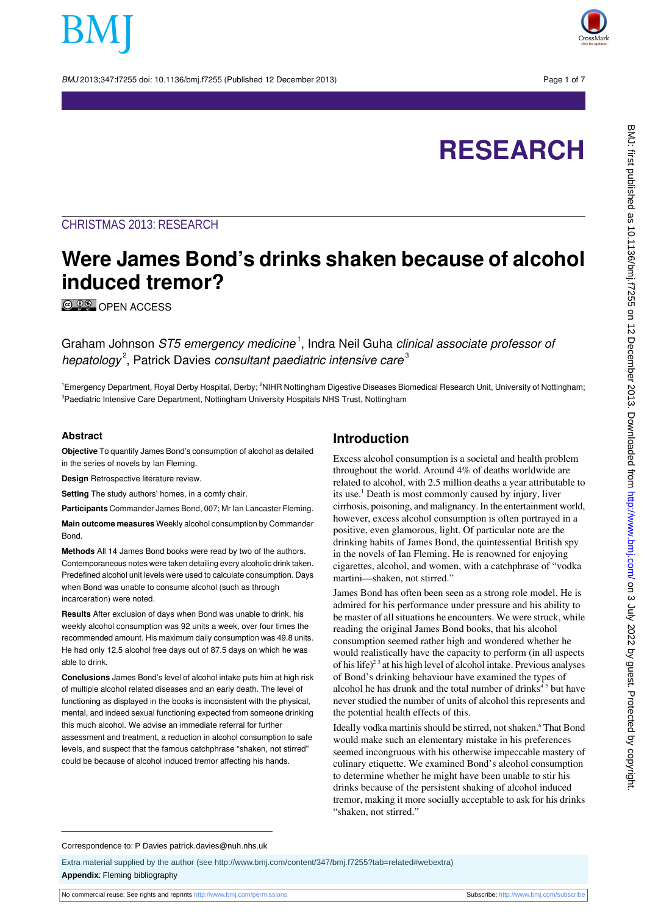BMJ 2013;347:f7255 doi: 10.1136/bmj.f7255 (Published 12 December 2013) Page 1 of 7



# **RESEARCH**

### CHRISTMAS 2013: RESEARCH

## **Were James Bond's drinks shaken because of alcohol induced tremor?**

© 0<sup>®</sup> [OPEN ACCESS](http://creativecommons.org/licenses/by-nc/3.0/)

Graham Johnson *ST5 emergency medicine* <sup>1</sup>, Indra Neil Guha *clinical associate professor of* hepatology<sup>2</sup>, Patrick Davies consultant paediatric intensive care<sup>3</sup>

<sup>1</sup>Emergency Department, Royal Derby Hospital, Derby; <sup>2</sup>NIHR Nottingham Digestive Diseases Biomedical Research Unit, University of Nottingham; <sup>3</sup>Paediatric Intensive Care Department, Nottingham University Hospitals NHS Trust, Nottingham

#### **Abstract**

**Objective** To quantify James Bond's consumption of alcohol as detailed in the series of novels by Ian Fleming.

**Design** Retrospective literature review.

**Setting** The study authors' homes, in a comfy chair.

**Participants** Commander James Bond, 007; Mr Ian Lancaster Fleming. **Main outcome measures** Weekly alcohol consumption by Commander Bond.

**Methods** All 14 James Bond books were read by two of the authors. Contemporaneous notes were taken detailing every alcoholic drink taken. Predefined alcohol unit levels were used to calculate consumption. Days when Bond was unable to consume alcohol (such as through incarceration) were noted.

**Results** After exclusion of days when Bond was unable to drink, his weekly alcohol consumption was 92 units a week, over four times the recommended amount. His maximum daily consumption was 49.8 units. He had only 12.5 alcohol free days out of 87.5 days on which he was able to drink.

**Conclusions** James Bond's level of alcohol intake puts him at high risk of multiple alcohol related diseases and an early death. The level of functioning as displayed in the books is inconsistent with the physical, mental, and indeed sexual functioning expected from someone drinking this much alcohol. We advise an immediate referral for further assessment and treatment, a reduction in alcohol consumption to safe levels, and suspect that the famous catchphrase "shaken, not stirred" could be because of alcohol induced tremor affecting his hands.

#### **Introduction**

Excess alcohol consumption is a societal and health problem throughout the world. Around 4% of deaths worldwide are related to alcohol, with 2.5 million deaths a year attributable to its use.<sup>1</sup> Death is most commonly caused by injury, liver cirrhosis, poisoning, and malignancy. In the entertainment world, however, excess alcohol consumption is often portrayed in a positive, even glamorous, light. Of particular note are the drinking habits of James Bond, the quintessential British spy in the novels of Ian Fleming. He is renowned for enjoying cigarettes, alcohol, and women, with a catchphrase of "vodka martini—shaken, not stirred."

James Bond has often been seen as a strong role model. He is admired for his performance under pressure and his ability to be master of all situations he encounters. We were struck, while reading the original James Bond books, that his alcohol consumption seemed rather high and wondered whether he would realistically have the capacity to perform (in all aspects of his life)<sup>23</sup> at his high level of alcohol intake. Previous analyses of Bond's drinking behaviour have examined the types of alcohol he has drunk and the total number of drinks<sup>45</sup> but have never studied the number of units of alcohol this represents and the potential health effects of this.

Ideally vodka martinis should be stirred, not shaken.<sup>6</sup> That Bond would make such an elementary mistake in his preferences seemed incongruous with his otherwise impeccable mastery of culinary etiquette. We examined Bond's alcohol consumption to determine whether he might have been unable to stir his drinks because of the persistent shaking of alcohol induced tremor, making it more socially acceptable to ask for his drinks "shaken, not stirred."

#### Correspondence to: P Davies patrick.davies@nuh.nhs.uk

Extra material supplied by the author (see [http://www.bmj.com/content/347/bmj.f7255?tab=related#webextra\)](http://www.bmj.com/content/347/bmj.f7255?tab=related#webextra) **Appendix**: Fleming bibliography

No commercial reuse: See rights and reprints <http://www.bmj.com/permissions> Subscribe: <http://www.bmj.com/subscribe>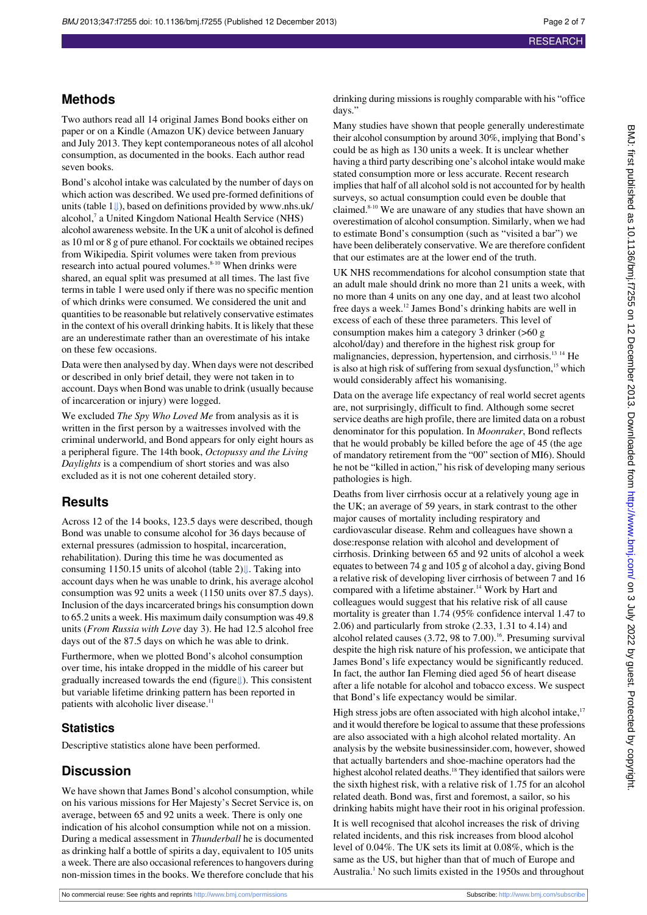## **Methods**

Two authors read all 14 original James Bond books either on paper or on a Kindle (Amazon UK) device between January and July 2013. They kept contemporaneous notes of all alcohol consumption, as documented in the books. Each author read seven books.

Bond's alcohol intake was calculated by the number of days on which action was described. We used pre-formed definitions of units (table [1⇓\)](#page-4-0), based on definitions provided by [www.nhs.uk/](http://www.nhs.uk/alcohol) [alcohol](http://www.nhs.uk/alcohol),<sup>7</sup> a United Kingdom National Health Service (NHS) alcohol awareness website. In the UK a unit of alcohol is defined as 10 ml or 8 g of pure ethanol. For cocktails we obtained recipes from Wikipedia. Spirit volumes were taken from previous research into actual poured volumes.<sup>8-10</sup> When drinks were shared, an equal split was presumed at all times. The last five terms in table 1 were used only if there was no specific mention of which drinks were consumed. We considered the unit and quantities to be reasonable but relatively conservative estimates in the context of his overall drinking habits. It is likely that these are an underestimate rather than an overestimate of his intake on these few occasions.

Data were then analysed by day. When days were not described or described in only brief detail, they were not taken in to account. Days when Bond was unable to drink (usually because of incarceration or injury) were logged.

We excluded *The Spy Who Loved Me* from analysis as it is written in the first person by a waitresses involved with the criminal underworld, and Bond appears for only eight hours as a peripheral figure. The 14th book, *Octopussy and the Living Daylights* is a compendium of short stories and was also excluded as it is not one coherent detailed story.

### **Results**

Across 12 of the 14 books, 123.5 days were described, though Bond was unable to consume alcohol for 36 days because of external pressures (admission to hospital, incarceration, rehabilitation). During this time he was documented as consuming 1150.15 units of alcohol (table2)[⇓.](#page-5-0) Taking into account days when he was unable to drink, his average alcohol consumption was 92 units a week (1150 units over 87.5 days). Inclusion of the days incarcerated brings his consumption down to 65.2 units a week. His maximum daily consumption was 49.8 units (*From Russia with Love* day 3). He had 12.5 alcohol free days out of the 87.5 days on which he was able to drink.

Furthermore, when we plotted Bond's alcohol consumption over time, his intake dropped in the middle of his career but gradually increased towards the end (figur[e⇓](#page-6-0)). This consistent but variable lifetime drinking pattern has been reported in patients with alcoholic liver disease.<sup>11</sup>

### **Statistics**

Descriptive statistics alone have been performed.

## **Discussion**

We have shown that James Bond's alcohol consumption, while on his various missions for Her Majesty's Secret Service is, on average, between 65 and 92 units a week. There is only one indication of his alcohol consumption while not on a mission. During a medical assessment in *Thunderball* he is documented as drinking half a bottle of spirits a day, equivalent to 105 units a week. There are also occasional references to hangovers during non-mission times in the books. We therefore conclude that his

drinking during missions is roughly comparable with his "office days."

Many studies have shown that people generally underestimate their alcohol consumption by around 30%, implying that Bond's could be as high as 130 units a week. It is unclear whether having a third party describing one's alcohol intake would make stated consumption more or less accurate. Recent research implies that half of all alcohol sold is not accounted for by health surveys, so actual consumption could even be double that claimed.<sup>8-10</sup> We are unaware of any studies that have shown an overestimation of alcohol consumption. Similarly, when we had to estimate Bond's consumption (such as "visited a bar") we have been deliberately conservative. We are therefore confident that our estimates are at the lower end of the truth.

UK NHS recommendations for alcohol consumption state that an adult male should drink no more than 21 units a week, with no more than 4 units on any one day, and at least two alcohol free days a week.<sup>12</sup> James Bond's drinking habits are well in excess of each of these three parameters. This level of consumption makes him a category 3 drinker (>60 g alcohol/day) and therefore in the highest risk group for malignancies, depression, hypertension, and cirrhosis.13 14 He is also at high risk of suffering from sexual dysfunction, $15$  which would considerably affect his womanising.

Data on the average life expectancy of real world secret agents are, not surprisingly, difficult to find. Although some secret service deaths are high profile, there are limited data on a robust denominator for this population. In *Moonraker*, Bond reflects that he would probably be killed before the age of 45 (the age of mandatory retirement from the "00" section of MI6). Should he not be "killed in action," his risk of developing many serious pathologies is high.

Deaths from liver cirrhosis occur at a relatively young age in the UK; an average of 59 years, in stark contrast to the other major causes of mortality including respiratory and cardiovascular disease. Rehm and colleagues have shown a dose:response relation with alcohol and development of cirrhosis. Drinking between 65 and 92 units of alcohol a week equates to between 74 g and 105 g of alcohol a day, giving Bond a relative risk of developing liver cirrhosis of between 7 and 16 compared with a lifetime abstainer.<sup>14</sup> Work by Hart and colleagues would suggest that his relative risk of all cause mortality is greater than 1.74 (95% confidence interval 1.47 to 2.06) and particularly from stroke (2.33, 1.31 to 4.14) and alcohol related causes  $(3.72, 98 \text{ to } 7.00)$ .<sup>16</sup>. Presuming survival despite the high risk nature of his profession, we anticipate that James Bond's life expectancy would be significantly reduced. In fact, the author Ian Fleming died aged 56 of heart disease after a life notable for alcohol and tobacco excess. We suspect that Bond's life expectancy would be similar.

High stress jobs are often associated with high alcohol intake, $17$ and it would therefore be logical to assume that these professions are also associated with a high alcohol related mortality. An analysis by the website businessinsider.com, however, showed that actually bartenders and shoe-machine operators had the highest alcohol related deaths.<sup>18</sup> They identified that sailors were the sixth highest risk, with a relative risk of 1.75 for an alcohol related death. Bond was, first and foremost, a sailor, so his drinking habits might have their root in his original profession.

It is well recognised that alcohol increases the risk of driving related incidents, and this risk increases from blood alcohol level of 0.04%. The UK sets its limit at 0.08%, which is the same as the US, but higher than that of much of Europe and Australia.<sup>1</sup> No such limits existed in the 1950s and throughout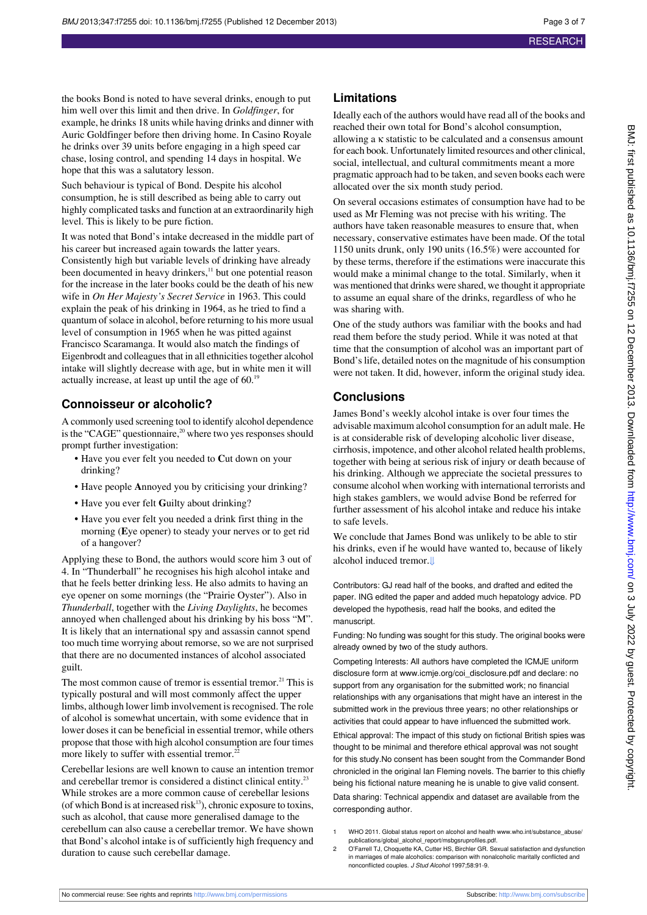the books Bond is noted to have several drinks, enough to put him well over this limit and then drive. In *Goldfinger*, for example, he drinks 18 units while having drinks and dinner with Auric Goldfinger before then driving home. In Casino Royale he drinks over 39 units before engaging in a high speed car chase, losing control, and spending 14 days in hospital. We hope that this was a salutatory lesson.

Such behaviour is typical of Bond. Despite his alcohol consumption, he is still described as being able to carry out highly complicated tasks and function at an extraordinarily high level. This is likely to be pure fiction.

It was noted that Bond's intake decreased in the middle part of his career but increased again towards the latter years. Consistently high but variable levels of drinking have already been documented in heavy drinkers,<sup>11</sup> but one potential reason for the increase in the later books could be the death of his new wife in *On Her Majesty's Secret Service* in 1963. This could explain the peak of his drinking in 1964, as he tried to find a quantum of solace in alcohol, before returning to his more usual level of consumption in 1965 when he was pitted against Francisco Scaramanga. It would also match the findings of Eigenbrodt and colleagues that in all ethnicities together alcohol intake will slightly decrease with age, but in white men it will actually increase, at least up until the age of 60.<sup>19</sup>

#### **Connoisseur or alcoholic?**

A commonly used screening tool to identify alcohol dependence is the "CAGE" questionnaire,<sup>20</sup> where two yes responses should prompt further investigation:

- **•** Have you ever felt you needed to **C**ut down on your drinking?
- **•** Have people **A**nnoyed you by criticising your drinking?
- **•** Have you ever felt **G**uilty about drinking?
- **•** Have you ever felt you needed a drink first thing in the morning (**E**ye opener) to steady your nerves or to get rid of a hangover?

Applying these to Bond, the authors would score him 3 out of 4. In "Thunderball" he recognises his high alcohol intake and that he feels better drinking less. He also admits to having an eye opener on some mornings (the "Prairie Oyster"). Also in *Thunderball*, together with the *Living Daylights*, he becomes annoyed when challenged about his drinking by his boss "M". It is likely that an international spy and assassin cannot spend too much time worrying about remorse, so we are not surprised that there are no documented instances of alcohol associated guilt.

The most common cause of tremor is essential tremor.<sup>21</sup> This is typically postural and will most commonly affect the upper limbs, although lower limb involvement is recognised. The role of alcohol is somewhat uncertain, with some evidence that in lower doses it can be beneficial in essential tremor, while others propose that those with high alcohol consumption are four times more likely to suffer with essential tremor.<sup>2</sup>

Cerebellar lesions are well known to cause an intention tremor and cerebellar tremor is considered a distinct clinical entity.<sup>23</sup> While strokes are a more common cause of cerebellar lesions (of which Bond is at increased risk $13$ ), chronic exposure to toxins, such as alcohol, that cause more generalised damage to the cerebellum can also cause a cerebellar tremor. We have shown that Bond's alcohol intake is of sufficiently high frequency and duration to cause such cerebellar damage.

#### **Limitations**

Ideally each of the authors would have read all of the books and reached their own total for Bond's alcohol consumption, allowing a κ statistic to be calculated and a consensus amount for each book. Unfortunately limited resources and other clinical, social, intellectual, and cultural commitments meant a more pragmatic approach had to be taken, and seven books each were allocated over the six month study period.

On several occasions estimates of consumption have had to be used as Mr Fleming was not precise with his writing. The authors have taken reasonable measures to ensure that, when necessary, conservative estimates have been made. Of the total 1150 units drunk, only 190 units (16.5%) were accounted for by these terms, therefore if the estimations were inaccurate this would make a minimal change to the total. Similarly, when it was mentioned that drinks were shared, we thought it appropriate to assume an equal share of the drinks, regardless of who he was sharing with.

One of the study authors was familiar with the books and had read them before the study period. While it was noted at that time that the consumption of alcohol was an important part of Bond's life, detailed notes on the magnitude of his consumption were not taken. It did, however, inform the original study idea.

#### **Conclusions**

James Bond's weekly alcohol intake is over four times the advisable maximum alcohol consumption for an adult male. He is at considerable risk of developing alcoholic liver disease, cirrhosis, impotence, and other alcohol related health problems, together with being at serious risk of injury or death because of his drinking. Although we appreciate the societal pressures to consume alcohol when working with international terrorists and high stakes gamblers, we would advise Bond be referred for further assessment of his alcohol intake and reduce his intake to safe levels.

We conclude that James Bond was unlikely to be able to stir his drinks, even if he would have wanted to, because of likely alcohol induced tremor[.⇓](#page-6-1)

Contributors: GJ read half of the books, and drafted and edited the paper. ING edited the paper and added much hepatology advice. PD developed the hypothesis, read half the books, and edited the manuscript.

Funding: No funding was sought for this study. The original books were already owned by two of the study authors.

Competing Interests: All authors have completed the ICMJE uniform disclosure form at [www.icmje.org/coi\\_disclosure.pdf](http://www.icmje.org/coi_disclosure.pdf) and declare: no support from any organisation for the submitted work; no financial relationships with any organisations that might have an interest in the submitted work in the previous three years; no other relationships or activities that could appear to have influenced the submitted work. Ethical approval: The impact of this study on fictional British spies was thought to be minimal and therefore ethical approval was not sought for this study.No consent has been sought from the Commander Bond chronicled in the original Ian Fleming novels. The barrier to this chiefly being his fictional nature meaning he is unable to give valid consent. Data sharing: Technical appendix and dataset are available from the corresponding author.

- 1 WHO 2011. Global status report on alcohol and health [www.who.int/substance\\_abuse/](http://www.who.int/substance_abuse/publications/global_alcohol_report/msbgsruprofiles.pdf) [publications/global\\_alcohol\\_report/msbgsruprofiles.pdf](http://www.who.int/substance_abuse/publications/global_alcohol_report/msbgsruprofiles.pdf).
- 2 O'Farrell TJ, Choquette KA, Cutter HS, Birchler GR. Sexual satisfaction and dysfunction in marriages of male alcoholics: comparison with nonalcoholic maritally conflicted and nonconflicted couples. J Stud Alcohol 1997;58:91-9.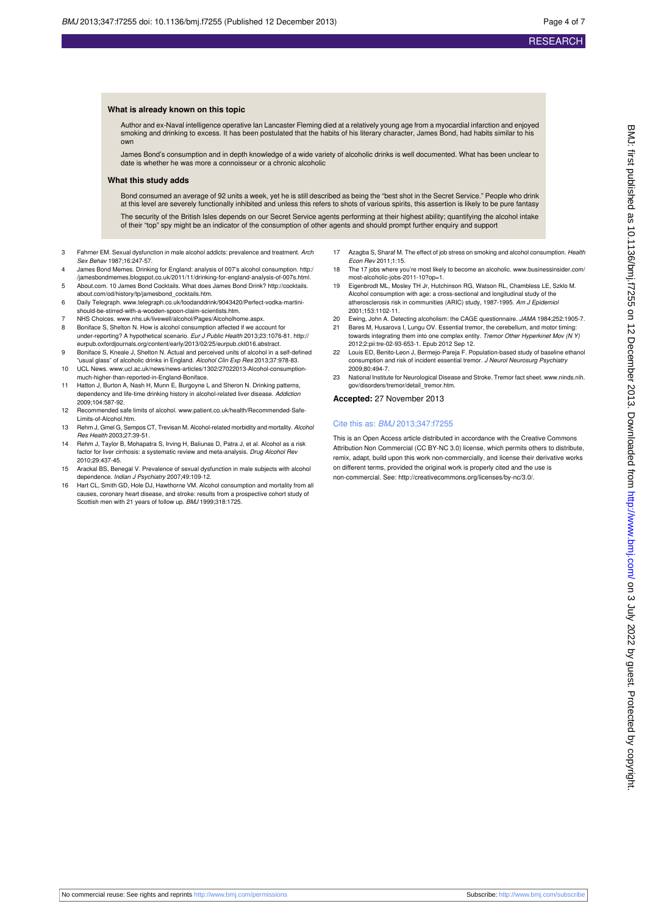#### **What is already known on this topic**

Author and ex-Naval intelligence operative Ian Lancaster Fleming died at a relatively young age from a myocardial infarction and enjoyed smoking and drinking to excess. It has been postulated that the habits of his literary character, James Bond, had habits similar to his own

James Bond's consumption and in depth knowledge of a wide variety of alcoholic drinks is well documented. What has been unclear to date is whether he was more a connoisseur or a chronic alcoholic

#### **What this study adds**

Bond consumed an average of 92 units a week, yet he is still described as being the "best shot in the Secret Service." People who drink at this level are severely functionally inhibited and unless this refers to shots of various spirits, this assertion is likely to be pure fantasy The security of the British Isles depends on our Secret Service agents performing at their highest ability; quantifying the alcohol intake of their "top" spy might be an indicator of the consumption of other agents and should prompt further enquiry and support

- 3 Fahrner EM. Sexual dysfunction in male alcohol addicts: prevalence and treatment. Arch Sex Behav 1987;16:247-57.
- 4 James Bond Memes. Drinking for England: analysis of 007's alcohol consumption. [http:/](http://jamesbondmemes.blogspot.co.uk/2011/11/drinking-for-england-analysis-of-007s.html) [/jamesbondmemes.blogspot.co.uk/2011/11/drinking-for-england-analysis-of-007s.html.](http://jamesbondmemes.blogspot.co.uk/2011/11/drinking-for-england-analysis-of-007s.html)
- 5 About.com. 10 James Bond Cocktails. What does James Bond Drink? [http://cocktails.](http://cocktails.about.com/od/history/tp/jamesbond_cocktails.htm) [about.com/od/history/tp/jamesbond\\_cocktails.htm](http://cocktails.about.com/od/history/tp/jamesbond_cocktails.htm).
- 6 Daily Telegraph. [www.telegraph.co.uk/foodanddrink/9043420/Perfect-vodka-martini](http://www.telegraph.co.uk/foodanddrink/9043420/Perfect-vodka-martini-should-be-stirred-with-a-wooden-spoon-claim-scientists.htm)[should-be-stirred-with-a-wooden-spoon-claim-scientists.htm.](http://www.telegraph.co.uk/foodanddrink/9043420/Perfect-vodka-martini-should-be-stirred-with-a-wooden-spoon-claim-scientists.htm)
- 7 NHS Choices. [www.nhs.uk/livewell/alcohol/Pages/Alcoholhome.aspx](http://www.nhs.uk/livewell/alcohol/Pages/Alcoholhome.aspx).
- 8 Boniface S, Shelton N. How is alcohol consumption affected if we account for under-reporting? A hypothetical scenario. Eur J Public Health 2013;23:1076-81. [http://](http://eurpub.oxfordjournals.org/content/early/2013/02/25/eurpub.ckt016.abstract) [eurpub.oxfordjournals.org/content/early/2013/02/25/eurpub.ckt016.abstract](http://eurpub.oxfordjournals.org/content/early/2013/02/25/eurpub.ckt016.abstract).
- 9 Boniface S, Kneale J, Shelton N. Actual and perceived units of alcohol in a self-defined "usual glass" of alcoholic drinks in England. Alcohol Clin Exp Res 2013;37:978-83.
- 10 UCL News. [www.ucl.ac.uk/news/news-articles/1302/27022013-Alcohol-consumption](http://www.ucl.ac.uk/news/news-articles/1302/27022013-Alcohol-consumption-much-higher-than-reported-in-England-Boniface)[much-higher-than-reported-in-England-Boniface](http://www.ucl.ac.uk/news/news-articles/1302/27022013-Alcohol-consumption-much-higher-than-reported-in-England-Boniface).
- 11 Hatton J, Burton A, Nash H, Munn E, Burgoyne L and Sheron N. Drinking patterns, dependency and life-time drinking history in alcohol-related liver disease. Addiction 2009;104:587-92.
- 12 Recommended safe limits of alcohol. [www.patient.co.uk/health/Recommended-Safe-](http://www.patient.co.uk/health/Recommended-Safe-Limits-of-Alcohol.htm)[Limits-of-Alcohol.htm](http://www.patient.co.uk/health/Recommended-Safe-Limits-of-Alcohol.htm).
- 13 Rehm J, Gmel G, Sempos CT, Trevisan M. Alcohol-related morbidity and mortality. Alcohol Res Health 2003;27:39-51.
- 14 Rehm J, Taylor B, Mohapatra S, Irving H, Baliunas D, Patra J, et al. Alcohol as a risk factor for liver cirrhosis: a systematic review and meta-analysis. Drug Alcohol Rev 2010;29:437-45.
- 15 Arackal BS, Benegal V. Prevalence of sexual dysfunction in male subjects with alcohol dependence. Indian J Psychiatry 2007;49:109-12.
- 16 Hart CL, Smith GD, Hole DJ, Hawthorne VM. Alcohol consumption and mortality from all causes, coronary heart disease, and stroke: results from a prospective cohort study of Scottish men with 21 years of follow up. BMJ 1999;318:1725.
- 17 Azagba S, Sharaf M. The effect of job stress on smoking and alcohol consumption. Health Econ Rev 2011;1:15.
- 18 The 17 jobs where you're most likely to become an alcoholic. [www.businessinsider.com/](http://www.businessinsider.com/most-alcoholic-jobs-2011-10?op=1) [most-alcoholic-jobs-2011-10?op=1](http://www.businessinsider.com/most-alcoholic-jobs-2011-10?op=1).
- 19 Eigenbrodt ML, Mosley TH Jr, Hutchinson RG, Watson RL, Chambless LE, Szklo M. Alcohol consumption with age: a cross-sectional and longitudinal study of the atherosclerosis risk in communities (ARIC) study, 1987-1995. Am J Epidemiol 2001;153:1102-11.
- 20 Ewing, John A. Detecting alcoholism: the CAGE questionnaire. JAMA 1984;252:1905-7. 21 Bares M, Husarova I, Lungu OV. Essential tremor, the cerebellum, and motor timing:
- towards integrating them into one complex entity. Tremor Other Hyperkinet Mov (N Y) 2012;2:pii:tre-02-93-653-1. Epub 2012 Sep 12. 22 Louis ED, Benito-Leon J, Bermejo-Pareja F. Population-based study of baseline ethanol
- consumption and risk of incident essential tremor. J Neurol Neurosurg Psychiatry 2009;80:494-7.
- 23 National Institute for Neurological Disease and Stroke. Tremor fact sheet. [www.ninds.nih.](http://www.ninds.nih.gov/disorders/tremor/detail_tremor.htm) [gov/disorders/tremor/detail\\_tremor.htm.](http://www.ninds.nih.gov/disorders/tremor/detail_tremor.htm)

**Accepted:** 27 November 2013

#### Cite this as: BMJ 2013;347:f7255

This is an Open Access article distributed in accordance with the Creative Commons Attribution Non Commercial (CC BY-NC 3.0) license, which permits others to distribute, remix, adapt, build upon this work non-commercially, and license their derivative works on different terms, provided the original work is properly cited and the use is non-commercial. See:<http://creativecommons.org/licenses/by-nc/3.0/>.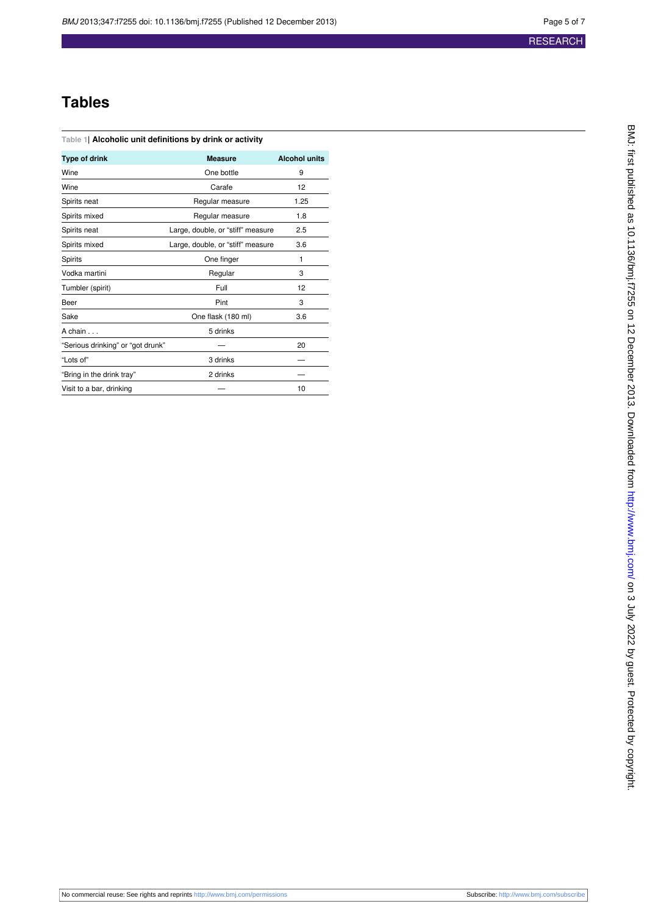## **Tables**

<span id="page-4-0"></span>

| Table 1  Alcoholic unit definitions by drink or activity |  |  |  |  |
|----------------------------------------------------------|--|--|--|--|
|----------------------------------------------------------|--|--|--|--|

| Type of drink                     | <b>Measure</b>                    | <b>Alcohol units</b> |
|-----------------------------------|-----------------------------------|----------------------|
| Wine                              | One bottle                        | 9                    |
| Wine                              | Carafe                            | 12                   |
| Spirits neat                      | Regular measure                   | 1.25                 |
| Spirits mixed                     | Regular measure                   | 1.8                  |
| Spirits neat                      | Large, double, or "stiff" measure | 2.5                  |
| Spirits mixed                     | Large, double, or "stiff" measure | 3.6                  |
| Spirits                           | One finger                        | 1                    |
| Vodka martini                     | Regular                           | 3                    |
| Tumbler (spirit)                  | Full                              | 12                   |
| Beer                              | Pint                              | 3                    |
| Sake                              | One flask (180 ml)                | 3.6                  |
| A chain                           | 5 drinks                          |                      |
| "Serious drinking" or "got drunk" |                                   | 20                   |
| "Lots of"                         | 3 drinks                          |                      |
| "Bring in the drink tray"         | 2 drinks                          |                      |
| Visit to a bar, drinking          |                                   | 10                   |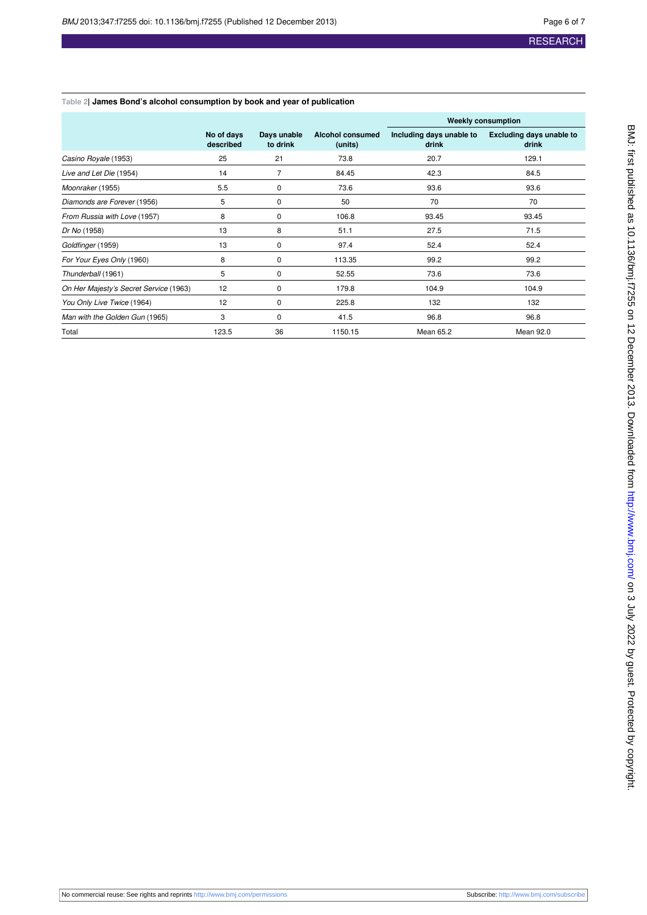#### <span id="page-5-0"></span>**Table 2| James Bond's alcohol consumption by book and year of publication**

|                                        |                         |                         |                             | <b>Weekly consumption</b>         |                                          |  |
|----------------------------------------|-------------------------|-------------------------|-----------------------------|-----------------------------------|------------------------------------------|--|
|                                        | No of days<br>described | Days unable<br>to drink | Alcohol consumed<br>(units) | Including days unable to<br>drink | <b>Excluding days unable to</b><br>drink |  |
| Casino Royale (1953)                   | 25                      | 21                      | 73.8                        | 20.7                              | 129.1                                    |  |
| Live and Let Die (1954)                | 14                      | $\overline{7}$          | 84.45                       | 42.3                              | 84.5                                     |  |
| Moonraker (1955)                       | 5.5                     | 0                       | 73.6                        | 93.6                              | 93.6                                     |  |
| Diamonds are Forever (1956)            | 5                       | 0                       | 50                          | 70                                | 70                                       |  |
| From Russia with Love (1957)           | 8                       | 0                       | 106.8                       | 93.45                             | 93.45                                    |  |
| Dr No (1958)                           | 13                      | 8                       | 51.1                        | 27.5                              | 71.5                                     |  |
| Goldfinger (1959)                      | 13                      | 0                       | 97.4                        | 52.4                              | 52.4                                     |  |
| For Your Eyes Only (1960)              | 8                       | 0                       | 113.35                      | 99.2                              | 99.2                                     |  |
| Thunderball (1961)                     | 5                       | 0                       | 52.55                       | 73.6                              | 73.6                                     |  |
| On Her Majesty's Secret Service (1963) | 12                      | 0                       | 179.8                       | 104.9                             | 104.9                                    |  |
| You Only Live Twice (1964)             | 12                      | 0                       | 225.8                       | 132                               | 132                                      |  |
| Man with the Golden Gun (1965)         | 3                       | 0                       | 41.5                        | 96.8                              | 96.8                                     |  |
| Total                                  | 123.5                   | 36                      | 1150.15                     | Mean 65.2                         | Mean 92.0                                |  |